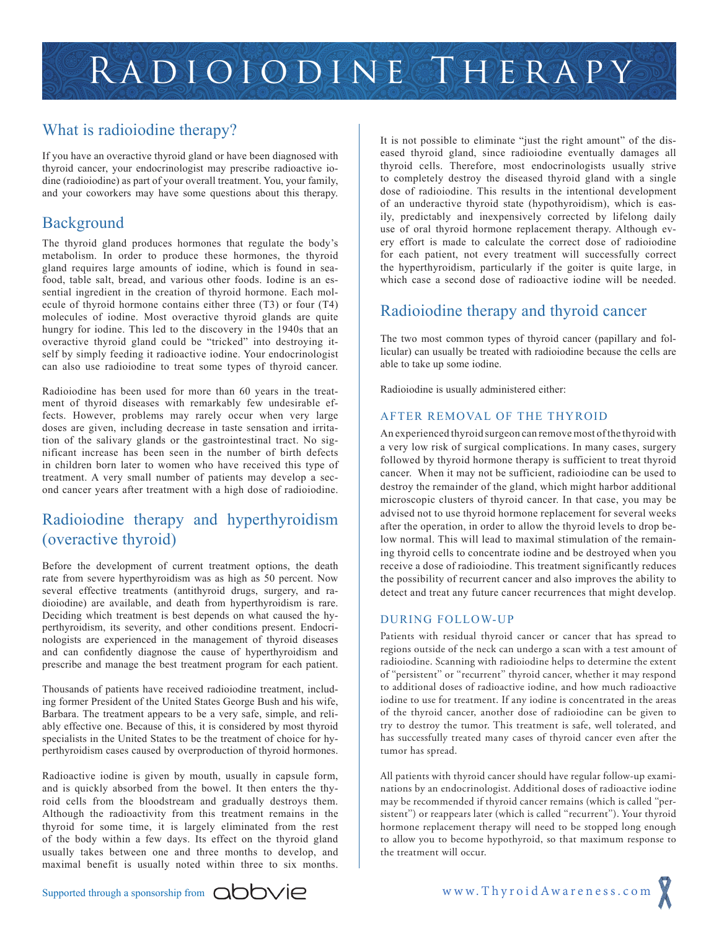## What is radioiodine therapy?

If you have an overactive thyroid gland or have been diagnosed with thyroid cancer, your endocrinologist may prescribe radioactive iodine (radioiodine) as part of your overall treatment. You, your family, and your coworkers may have some questions about this therapy.

#### **Background**

The thyroid gland produces hormones that regulate the body's metabolism. In order to produce these hormones, the thyroid gland requires large amounts of iodine, which is found in seafood, table salt, bread, and various other foods. Iodine is an essential ingredient in the creation of thyroid hormone. Each molecule of thyroid hormone contains either three (T3) or four (T4) molecules of iodine. Most overactive thyroid glands are quite hungry for iodine. This led to the discovery in the 1940s that an overactive thyroid gland could be "tricked" into destroying itself by simply feeding it radioactive iodine. Your endocrinologist can also use radioiodine to treat some types of thyroid cancer.

Radioiodine has been used for more than 60 years in the treatment of thyroid diseases with remarkably few undesirable effects. However, problems may rarely occur when very large doses are given, including decrease in taste sensation and irritation of the salivary glands or the gastrointestinal tract. No significant increase has been seen in the number of birth defects in children born later to women who have received this type of treatment. A very small number of patients may develop a second cancer years after treatment with a high dose of radioiodine.

## Radioiodine therapy and hyperthyroidism (overactive thyroid)

Before the development of current treatment options, the death rate from severe hyperthyroidism was as high as 50 percent. Now several effective treatments (antithyroid drugs, surgery, and radioiodine) are available, and death from hyperthyroidism is rare. Deciding which treatment is best depends on what caused the hyperthyroidism, its severity, and other conditions present. Endocrinologists are experienced in the management of thyroid diseases and can confidently diagnose the cause of hyperthyroidism and prescribe and manage the best treatment program for each patient.

Thousands of patients have received radioiodine treatment, including former President of the United States George Bush and his wife, Barbara. The treatment appears to be a very safe, simple, and reliably effective one. Because of this, it is considered by most thyroid specialists in the United States to be the treatment of choice for hyperthyroidism cases caused by overproduction of thyroid hormones.

Radioactive iodine is given by mouth, usually in capsule form, and is quickly absorbed from the bowel. It then enters the thyroid cells from the bloodstream and gradually destroys them. Although the radioactivity from this treatment remains in the thyroid for some time, it is largely eliminated from the rest of the body within a few days. Its effect on the thyroid gland usually takes between one and three months to develop, and maximal benefit is usually noted within three to six months.

It is not possible to eliminate "just the right amount" of the diseased thyroid gland, since radioiodine eventually damages all thyroid cells. Therefore, most endocrinologists usually strive to completely destroy the diseased thyroid gland with a single dose of radioiodine. This results in the intentional development of an underactive thyroid state (hypothyroidism), which is easily, predictably and inexpensively corrected by lifelong daily use of oral thyroid hormone replacement therapy. Although every effort is made to calculate the correct dose of radioiodine for each patient, not every treatment will successfully correct the hyperthyroidism, particularly if the goiter is quite large, in which case a second dose of radioactive iodine will be needed.

## Radioiodine therapy and thyroid cancer

The two most common types of thyroid cancer (papillary and follicular) can usually be treated with radioiodine because the cells are able to take up some iodine.

Radioiodine is usually administered either:

#### AFTER REMOVAL OF THE THYROID

An experienced thyroid surgeon can remove most of the thyroid with a very low risk of surgical complications. In many cases, surgery followed by thyroid hormone therapy is sufficient to treat thyroid cancer. When it may not be sufficient, radioiodine can be used to destroy the remainder of the gland, which might harbor additional microscopic clusters of thyroid cancer. In that case, you may be advised not to use thyroid hormone replacement for several weeks after the operation, in order to allow the thyroid levels to drop below normal. This will lead to maximal stimulation of the remaining thyroid cells to concentrate iodine and be destroyed when you receive a dose of radioiodine. This treatment significantly reduces the possibility of recurrent cancer and also improves the ability to detect and treat any future cancer recurrences that might develop.

#### DURING FOLLOW-UP

Patients with residual thyroid cancer or cancer that has spread to regions outside of the neck can undergo a scan with a test amount of radioiodine. Scanning with radioiodine helps to determine the extent of ''persistent'' or ''recurrent'' thyroid cancer, whether it may respond to additional doses of radioactive iodine, and how much radioactive iodine to use for treatment. If any iodine is concentrated in the areas of the thyroid cancer, another dose of radioiodine can be given to try to destroy the tumor. This treatment is safe, well tolerated, and has successfully treated many cases of thyroid cancer even after the tumor has spread.

All patients with thyroid cancer should have regular follow-up examinations by an endocrinologist. Additional doses of radioactive iodine may be recommended if thyroid cancer remains (which is called ''persistent'') or reappears later (which is called ''recurrent''). Your thyroid hormone replacement therapy will need to be stopped long enough to allow you to become hypothyroid, so that maximum response to the treatment will occur.